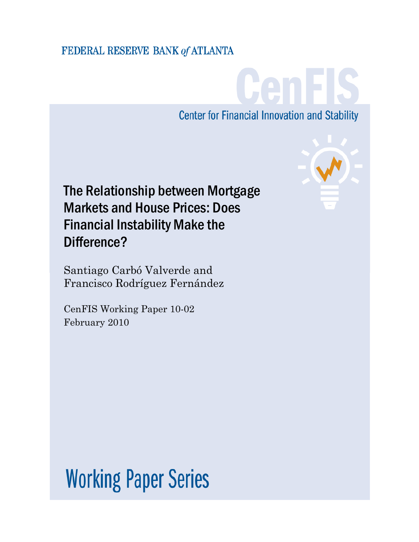# FEDERAL RESERVE BANK of ATLANTA

CenFIS **Center for Financial Innovation and Stability** 

The Relationship between Mortgage Markets and House Prices: Does Financial Instability Make the Difference?

Santiago Carbó Valverde and Francisco Rodríguez Fernández

CenFIS Working Paper 10-02 February 2010



**Working Paper Series**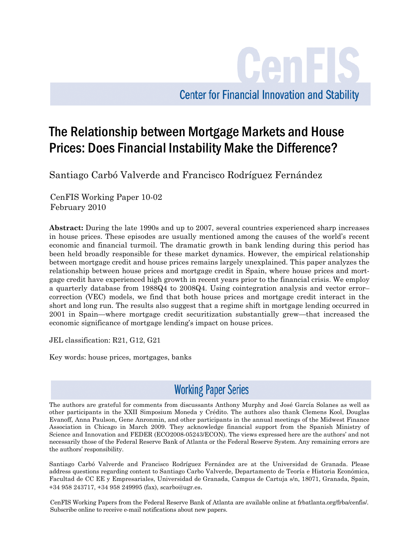**Center for Financial Innovation and Stability** 

Cenl

# The Relationship between Mortgage Markets and House Prices: Does Financial Instability Make the Difference?

Santiago Carbó Valverde and Francisco Rodríguez Fernández

CenFIS Working Paper 10-02 February 2010

**Abstract:** During the late 1990s and up to 2007, several countries experienced sharp increases in house prices. These episodes are usually mentioned among the causes of the world's recent economic and financial turmoil. The dramatic growth in bank lending during this period has been held broadly responsible for these market dynamics. However, the empirical relationship between mortgage credit and house prices remains largely unexplained. This paper analyzes the relationship between house prices and mortgage credit in Spain, where house prices and mortgage credit have experienced high growth in recent years prior to the financial crisis. We employ a quarterly database from 1988Q4 to 2008Q4. Using cointegration analysis and vector error– correction (VEC) models, we find that both house prices and mortgage credit interact in the short and long run. The results also suggest that a regime shift in mortgage lending occurred in 2001 in Spain—where mortgage credit securitization substantially grew—that increased the economic significance of mortgage lending's impact on house prices.

JEL classification: R21, G12, G21

Key words: house prices, mortgages, banks

# **Working Paper Series**

The authors are grateful for comments from discussants Anthony Murphy and José García Solanes as well as other participants in the XXII Simposium Moneda y Crédito. The authors also thank Clemens Kool, Douglas Evanoff, Anna Paulson, Gene Anronmin, and other participants in the annual meetings of the Midwest Finance Association in Chicago in March 2009. They acknowledge financial support from the Spanish Ministry of Science and Innovation and FEDER (ECO2008-05243/ECON). The views expressed here are the authors' and not necessarily those of the Federal Reserve Bank of Atlanta or the Federal Reserve System. Any remaining errors are the authors' responsibility.

Santiago Carbó Valverde and Francisco Rodríguez Fernández are at the Universidad de Granada. Please address questions regarding content to Santiago Carbo Valverde, Departamento de Teoría e Historia Económica, Facultad de CC EE y Empresariales, Universidad de Granada, Campus de Cartuja s/n, 18071, Granada, Spain, +34 958 243717, +34 958 249995 (fax), scarbo@ugr.es.

CenFIS Working Papers from the Federal Reserve Bank of Atlanta are available online at frbatlanta.org/frba/cenfis/. Subscribe online to receive e-mail notifications about new papers.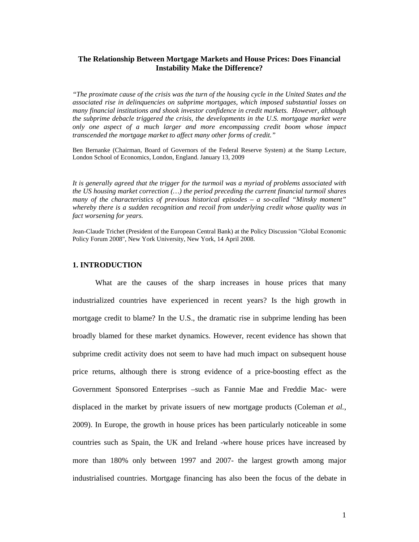### **The Relationship Between Mortgage Markets and House Prices: Does Financial Instability Make the Difference?**

*"The proximate cause of the crisis was the turn of the housing cycle in the United States and the associated rise in delinquencies on subprime mortgages, which imposed substantial losses on many financial institutions and shook investor confidence in credit markets. However, although the subprime debacle triggered the crisis, the developments in the U.S. mortgage market were only one aspect of a much larger and more encompassing credit boom whose impact transcended the mortgage market to affect many other forms of credit."* 

Ben Bernanke (Chairman, Board of Governors of the Federal Reserve System) at the Stamp Lecture, London School of Economics, London, England. January 13, 2009

*It is generally agreed that the trigger for the turmoil was a myriad of problems associated with the US housing market correction (…) the period preceding the current financial turmoil shares many of the characteristics of previous historical episodes – a so-called "Minsky moment" whereby there is a sudden recognition and recoil from underlying credit whose quality was in fact worsening for years.* 

Jean-Claude Trichet (President of the European Central Bank) at the Policy Discussion "Global Economic Policy Forum 2008", New York University, New York, 14 April 2008.

#### **1. INTRODUCTION**

What are the causes of the sharp increases in house prices that many industrialized countries have experienced in recent years? Is the high growth in mortgage credit to blame? In the U.S., the dramatic rise in subprime lending has been broadly blamed for these market dynamics. However, recent evidence has shown that subprime credit activity does not seem to have had much impact on subsequent house price returns, although there is strong evidence of a price-boosting effect as the Government Sponsored Enterprises –such as Fannie Mae and Freddie Mac- were displaced in the market by private issuers of new mortgage products (Coleman *et al.*, 2009). In Europe, the growth in house prices has been particularly noticeable in some countries such as Spain, the UK and Ireland -where house prices have increased by more than 180% only between 1997 and 2007- the largest growth among major industrialised countries. Mortgage financing has also been the focus of the debate in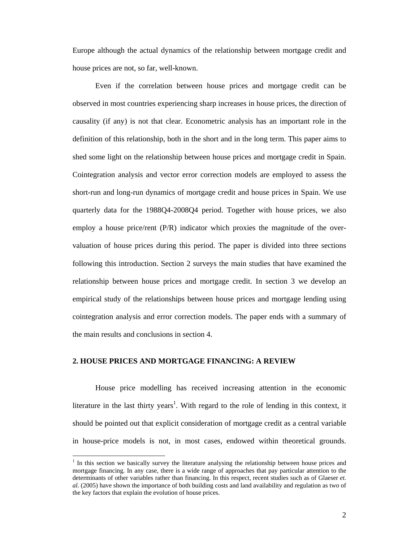Europe although the actual dynamics of the relationship between mortgage credit and house prices are not, so far, well-known.

Even if the correlation between house prices and mortgage credit can be observed in most countries experiencing sharp increases in house prices, the direction of causality (if any) is not that clear. Econometric analysis has an important role in the definition of this relationship, both in the short and in the long term. This paper aims to shed some light on the relationship between house prices and mortgage credit in Spain. Cointegration analysis and vector error correction models are employed to assess the short-run and long-run dynamics of mortgage credit and house prices in Spain. We use quarterly data for the 1988Q4-2008Q4 period. Together with house prices, we also employ a house price/rent (P/R) indicator which proxies the magnitude of the overvaluation of house prices during this period. The paper is divided into three sections following this introduction. Section 2 surveys the main studies that have examined the relationship between house prices and mortgage credit. In section 3 we develop an empirical study of the relationships between house prices and mortgage lending using cointegration analysis and error correction models. The paper ends with a summary of the main results and conclusions in section 4.

## **2. HOUSE PRICES AND MORTGAGE FINANCING: A REVIEW**

 $\overline{a}$ 

 House price modelling has received increasing attention in the economic literature in the last thirty years<sup>1</sup>. With regard to the role of lending in this context, it should be pointed out that explicit consideration of mortgage credit as a central variable in house-price models is not, in most cases, endowed within theoretical grounds.

<sup>&</sup>lt;sup>1</sup> In this section we basically survey the literature analysing the relationship between house prices and mortgage financing. In any case, there is a wide range of approaches that pay particular attention to the determinants of other variables rather than financing. In this respect, recent studies such as of Glaeser *et. al.* (2005) have shown the importance of both building costs and land availability and regulation as two of the key factors that explain the evolution of house prices.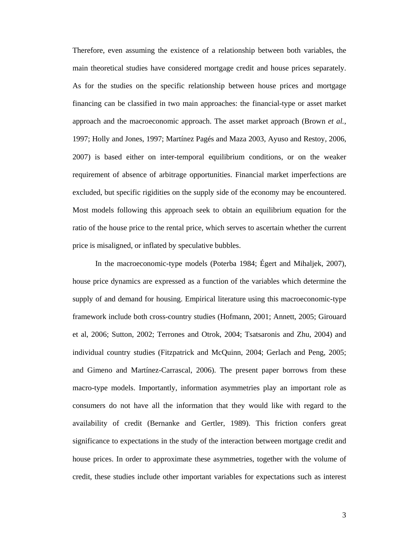Therefore, even assuming the existence of a relationship between both variables, the main theoretical studies have considered mortgage credit and house prices separately. As for the studies on the specific relationship between house prices and mortgage financing can be classified in two main approaches: the financial-type or asset market approach and the macroeconomic approach. The asset market approach (Brown *et al.*, 1997; Holly and Jones, 1997; Martínez Pagés and Maza 2003, Ayuso and Restoy, 2006, 2007) is based either on inter-temporal equilibrium conditions, or on the weaker requirement of absence of arbitrage opportunities. Financial market imperfections are excluded, but specific rigidities on the supply side of the economy may be encountered. Most models following this approach seek to obtain an equilibrium equation for the ratio of the house price to the rental price, which serves to ascertain whether the current price is misaligned, or inflated by speculative bubbles.

In the macroeconomic-type models (Poterba 1984; Égert and Mihaljek, 2007), house price dynamics are expressed as a function of the variables which determine the supply of and demand for housing. Empirical literature using this macroeconomic-type framework include both cross-country studies (Hofmann, 2001; Annett, 2005; Girouard et al, 2006; Sutton, 2002; Terrones and Otrok, 2004; Tsatsaronis and Zhu, 2004) and individual country studies (Fitzpatrick and McQuinn, 2004; Gerlach and Peng, 2005; and Gimeno and Martínez-Carrascal, 2006). The present paper borrows from these macro-type models. Importantly, information asymmetries play an important role as consumers do not have all the information that they would like with regard to the availability of credit (Bernanke and Gertler, 1989). This friction confers great significance to expectations in the study of the interaction between mortgage credit and house prices. In order to approximate these asymmetries, together with the volume of credit, these studies include other important variables for expectations such as interest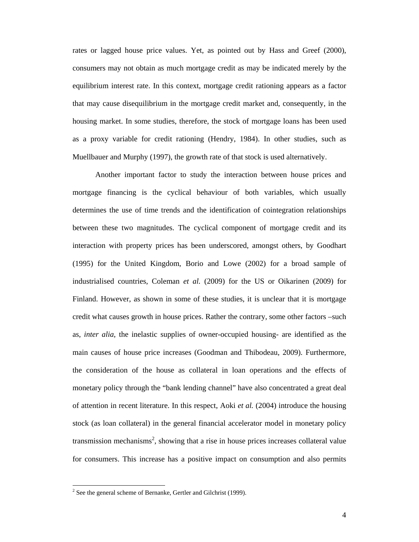rates or lagged house price values. Yet, as pointed out by Hass and Greef (2000), consumers may not obtain as much mortgage credit as may be indicated merely by the equilibrium interest rate. In this context, mortgage credit rationing appears as a factor that may cause disequilibrium in the mortgage credit market and, consequently, in the housing market. In some studies, therefore, the stock of mortgage loans has been used as a proxy variable for credit rationing (Hendry, 1984). In other studies, such as Muellbauer and Murphy (1997), the growth rate of that stock is used alternatively.

 Another important factor to study the interaction between house prices and mortgage financing is the cyclical behaviour of both variables, which usually determines the use of time trends and the identification of cointegration relationships between these two magnitudes. The cyclical component of mortgage credit and its interaction with property prices has been underscored, amongst others, by Goodhart (1995) for the United Kingdom, Borio and Lowe (2002) for a broad sample of industrialised countries, Coleman *et al.* (2009) for the US or Oikarinen (2009) for Finland. However, as shown in some of these studies, it is unclear that it is mortgage credit what causes growth in house prices. Rather the contrary, some other factors –such as, *inter alia*, the inelastic supplies of owner-occupied housing- are identified as the main causes of house price increases (Goodman and Thibodeau, 2009). Furthermore, the consideration of the house as collateral in loan operations and the effects of monetary policy through the "bank lending channel" have also concentrated a great deal of attention in recent literature. In this respect, Aoki *et al.* (2004) introduce the housing stock (as loan collateral) in the general financial accelerator model in monetary policy transmission mechanisms<sup>2</sup>, showing that a rise in house prices increases collateral value for consumers. This increase has a positive impact on consumption and also permits

 $\overline{a}$ 

 $2^2$  See the general scheme of Bernanke, Gertler and Gilchrist (1999).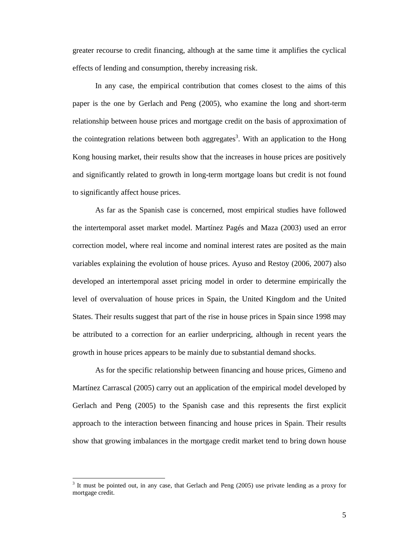greater recourse to credit financing, although at the same time it amplifies the cyclical effects of lending and consumption, thereby increasing risk.

 In any case, the empirical contribution that comes closest to the aims of this paper is the one by Gerlach and Peng (2005), who examine the long and short-term relationship between house prices and mortgage credit on the basis of approximation of the cointegration relations between both aggregates<sup>3</sup>. With an application to the Hong Kong housing market, their results show that the increases in house prices are positively and significantly related to growth in long-term mortgage loans but credit is not found to significantly affect house prices.

As far as the Spanish case is concerned, most empirical studies have followed the intertemporal asset market model. Martínez Pagés and Maza (2003) used an error correction model, where real income and nominal interest rates are posited as the main variables explaining the evolution of house prices. Ayuso and Restoy (2006, 2007) also developed an intertemporal asset pricing model in order to determine empirically the level of overvaluation of house prices in Spain, the United Kingdom and the United States. Their results suggest that part of the rise in house prices in Spain since 1998 may be attributed to a correction for an earlier underpricing, although in recent years the growth in house prices appears to be mainly due to substantial demand shocks.

As for the specific relationship between financing and house prices, Gimeno and Martínez Carrascal (2005) carry out an application of the empirical model developed by Gerlach and Peng (2005) to the Spanish case and this represents the first explicit approach to the interaction between financing and house prices in Spain. Their results show that growing imbalances in the mortgage credit market tend to bring down house

 $\overline{a}$ 

<sup>&</sup>lt;sup>3</sup> It must be pointed out, in any case, that Gerlach and Peng (2005) use private lending as a proxy for mortgage credit.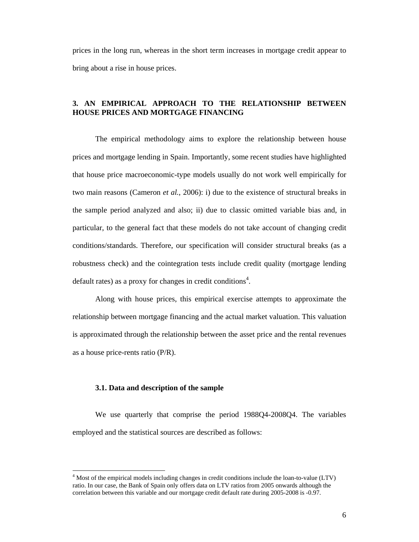prices in the long run, whereas in the short term increases in mortgage credit appear to bring about a rise in house prices.

# **3. AN EMPIRICAL APPROACH TO THE RELATIONSHIP BETWEEN HOUSE PRICES AND MORTGAGE FINANCING**

The empirical methodology aims to explore the relationship between house prices and mortgage lending in Spain. Importantly, some recent studies have highlighted that house price macroeconomic-type models usually do not work well empirically for two main reasons (Cameron *et al.*, 2006): i) due to the existence of structural breaks in the sample period analyzed and also; ii) due to classic omitted variable bias and, in particular, to the general fact that these models do not take account of changing credit conditions/standards. Therefore, our specification will consider structural breaks (as a robustness check) and the cointegration tests include credit quality (mortgage lending default rates) as a proxy for changes in credit conditions<sup>4</sup>.

Along with house prices, this empirical exercise attempts to approximate the relationship between mortgage financing and the actual market valuation. This valuation is approximated through the relationship between the asset price and the rental revenues as a house price-rents ratio (P/R).

#### **3.1. Data and description of the sample**

 $\overline{a}$ 

 We use quarterly that comprise the period 1988Q4-2008Q4. The variables employed and the statistical sources are described as follows:

 $4$  Most of the empirical models including changes in credit conditions include the loan-to-value (LTV) ratio. In our case, the Bank of Spain only offers data on LTV ratios from 2005 onwards although the correlation between this variable and our mortgage credit default rate during 2005-2008 is -0.97.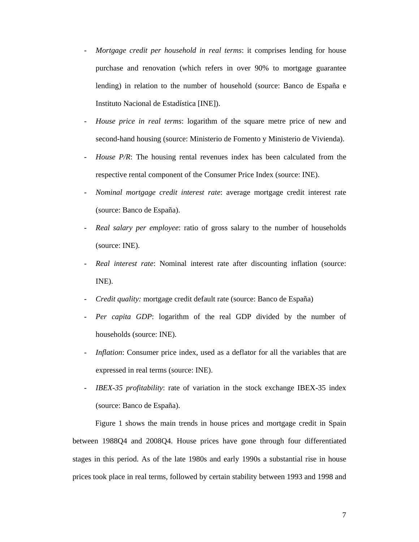- *Mortgage credit per household in real terms: it comprises lending for house* purchase and renovation (which refers in over 90% to mortgage guarantee lending) in relation to the number of household (source: Banco de España e Instituto Nacional de Estadística [INE]).
- *House price in real terms*: logarithm of the square metre price of new and second-hand housing (source: Ministerio de Fomento y Ministerio de Vivienda).
- *House P/R*: The housing rental revenues index has been calculated from the respective rental component of the Consumer Price Index (source: INE).
- *Nominal mortgage credit interest rate*: average mortgage credit interest rate (source: Banco de España).
- *Real salary per employee*: ratio of gross salary to the number of households (source: INE).
- Real interest rate: Nominal interest rate after discounting inflation (source: INE).
- *Credit quality:* mortgage credit default rate (source: Banco de España)
- Per capita GDP: logarithm of the real GDP divided by the number of households (source: INE).
- *Inflation*: Consumer price index, used as a deflator for all the variables that are expressed in real terms (source: INE).
- *IBEX-35 profitability*: rate of variation in the stock exchange IBEX-35 index (source: Banco de España).

Figure 1 shows the main trends in house prices and mortgage credit in Spain between 1988Q4 and 2008Q4. House prices have gone through four differentiated stages in this period. As of the late 1980s and early 1990s a substantial rise in house prices took place in real terms, followed by certain stability between 1993 and 1998 and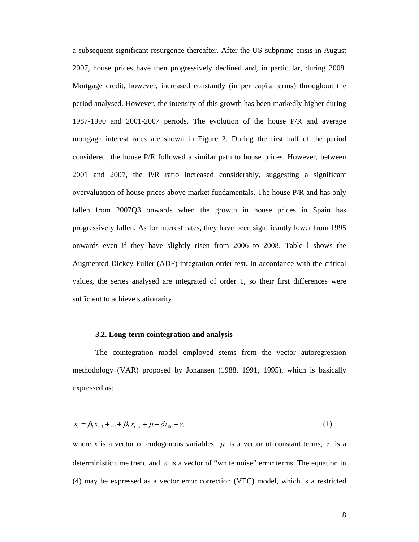a subsequent significant resurgence thereafter. After the US subprime crisis in August 2007, house prices have then progressively declined and, in particular, during 2008. Mortgage credit, however, increased constantly (in per capita terms) throughout the period analysed. However, the intensity of this growth has been markedly higher during 1987-1990 and 2001-2007 periods. The evolution of the house P/R and average mortgage interest rates are shown in Figure 2. During the first half of the period considered, the house P/R followed a similar path to house prices. However, between 2001 and 2007, the P/R ratio increased considerably, suggesting a significant overvaluation of house prices above market fundamentals. The house P/R and has only fallen from 2007Q3 onwards when the growth in house prices in Spain has progressively fallen. As for interest rates, they have been significantly lower from 1995 onwards even if they have slightly risen from 2006 to 2008. Table l shows the Augmented Dickey-Fuller (ADF) integration order test. In accordance with the critical values, the series analysed are integrated of order 1, so their first differences were sufficient to achieve stationarity.

#### **3.2. Long-term cointegration and analysis**

 The cointegration model employed stems from the vector autoregression methodology (VAR) proposed by Johansen (1988, 1991, 1995), which is basically expressed as:

$$
x_{t} = \beta_1 x_{t-1} + \ldots + \beta_k x_{t-k} + \mu + \delta \tau_{\partial t} + \varepsilon_t
$$
\n(1)

where *x* is a vector of endogenous variables,  $\mu$  is a vector of constant terms,  $\tau$  is a deterministic time trend and  $\varepsilon$  is a vector of "white noise" error terms. The equation in (4) may be expressed as a vector error correction (VEC) model, which is a restricted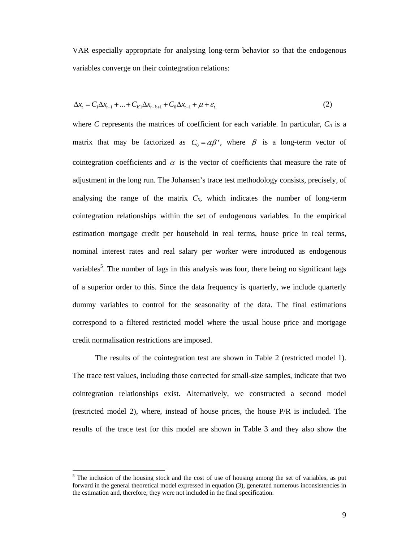VAR especially appropriate for analysing long-term behavior so that the endogenous variables converge on their cointegration relations:

$$
\Delta x_t = C_1 \Delta x_{t-1} + ... + C_{k'} \Delta x_{t-k+1} + C_0 \Delta x_{t-1} + \mu + \varepsilon_t
$$
\n(2)

where *C* represents the matrices of coefficient for each variable. In particular,  $C_0$  is a matrix that may be factorized as  $C_0 = \alpha \beta'$ , where  $\beta$  is a long-term vector of cointegration coefficients and  $\alpha$  is the vector of coefficients that measure the rate of adjustment in the long run. The Johansen's trace test methodology consists, precisely, of analysing the range of the matrix  $C_0$ , which indicates the number of long-term cointegration relationships within the set of endogenous variables. In the empirical estimation mortgage credit per household in real terms, house price in real terms, nominal interest rates and real salary per worker were introduced as endogenous variables<sup>5</sup>. The number of lags in this analysis was four, there being no significant lags of a superior order to this. Since the data frequency is quarterly, we include quarterly dummy variables to control for the seasonality of the data. The final estimations correspond to a filtered restricted model where the usual house price and mortgage credit normalisation restrictions are imposed.

 The results of the cointegration test are shown in Table 2 (restricted model 1). The trace test values, including those corrected for small-size samples, indicate that two cointegration relationships exist. Alternatively, we constructed a second model (restricted model 2), where, instead of house prices, the house P/R is included. The results of the trace test for this model are shown in Table 3 and they also show the

 $<sup>5</sup>$  The inclusion of the housing stock and the cost of use of housing among the set of variables, as put</sup> forward in the general theoretical model expressed in equation (3), generated numerous inconsistencies in the estimation and, therefore, they were not included in the final specification.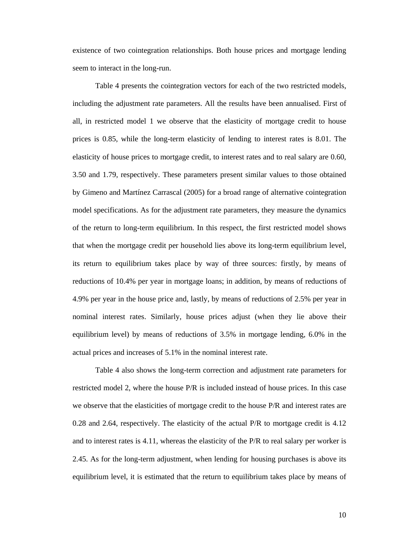existence of two cointegration relationships. Both house prices and mortgage lending seem to interact in the long-run.

 Table 4 presents the cointegration vectors for each of the two restricted models, including the adjustment rate parameters. All the results have been annualised. First of all, in restricted model 1 we observe that the elasticity of mortgage credit to house prices is 0.85, while the long-term elasticity of lending to interest rates is 8.01. The elasticity of house prices to mortgage credit, to interest rates and to real salary are 0.60, 3.50 and 1.79, respectively. These parameters present similar values to those obtained by Gimeno and Martínez Carrascal (2005) for a broad range of alternative cointegration model specifications. As for the adjustment rate parameters, they measure the dynamics of the return to long-term equilibrium. In this respect, the first restricted model shows that when the mortgage credit per household lies above its long-term equilibrium level, its return to equilibrium takes place by way of three sources: firstly, by means of reductions of 10.4% per year in mortgage loans; in addition, by means of reductions of 4.9% per year in the house price and, lastly, by means of reductions of 2.5% per year in nominal interest rates. Similarly, house prices adjust (when they lie above their equilibrium level) by means of reductions of 3.5% in mortgage lending, 6.0% in the actual prices and increases of 5.1% in the nominal interest rate.

Table 4 also shows the long-term correction and adjustment rate parameters for restricted model 2, where the house P/R is included instead of house prices. In this case we observe that the elasticities of mortgage credit to the house P/R and interest rates are 0.28 and 2.64, respectively. The elasticity of the actual P/R to mortgage credit is 4.12 and to interest rates is 4.11, whereas the elasticity of the P/R to real salary per worker is 2.45. As for the long-term adjustment, when lending for housing purchases is above its equilibrium level, it is estimated that the return to equilibrium takes place by means of

10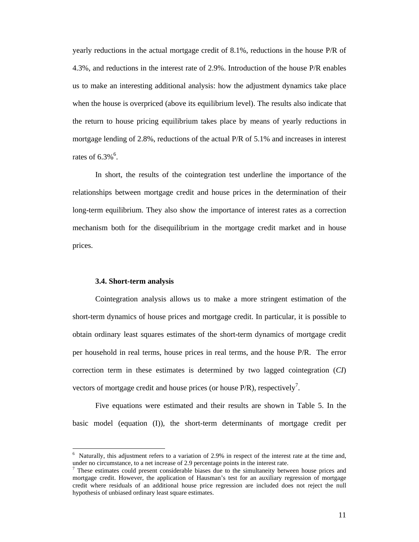yearly reductions in the actual mortgage credit of 8.1%, reductions in the house P/R of 4.3%, and reductions in the interest rate of 2.9%. Introduction of the house P/R enables us to make an interesting additional analysis: how the adjustment dynamics take place when the house is overpriced (above its equilibrium level). The results also indicate that the return to house pricing equilibrium takes place by means of yearly reductions in mortgage lending of 2.8%, reductions of the actual P/R of 5.1% and increases in interest rates of  $6.3\%$ <sup>6</sup>.

 In short, the results of the cointegration test underline the importance of the relationships between mortgage credit and house prices in the determination of their long-term equilibrium. They also show the importance of interest rates as a correction mechanism both for the disequilibrium in the mortgage credit market and in house prices.

#### **3.4. Short-term analysis**

 $\overline{a}$ 

 Cointegration analysis allows us to make a more stringent estimation of the short-term dynamics of house prices and mortgage credit. In particular, it is possible to obtain ordinary least squares estimates of the short-term dynamics of mortgage credit per household in real terms, house prices in real terms, and the house P/R. The error correction term in these estimates is determined by two lagged cointegration (*CI*) vectors of mortgage credit and house prices (or house  $P/R$ ), respectively<sup>7</sup>.

 Five equations were estimated and their results are shown in Table 5. In the basic model (equation (I)), the short-term determinants of mortgage credit per

<sup>&</sup>lt;sup>6</sup> Naturally, this adjustment refers to a variation of 2.9% in respect of the interest rate at the time and, under no circumstance, to a net increase of 2.9 percentage points in the interest rate.

<sup>7</sup> These estimates could present considerable biases due to the simultaneity between house prices and mortgage credit. However, the application of Hausman's test for an auxiliary regression of mortgage credit where residuals of an additional house price regression are included does not reject the null hypothesis of unbiased ordinary least square estimates.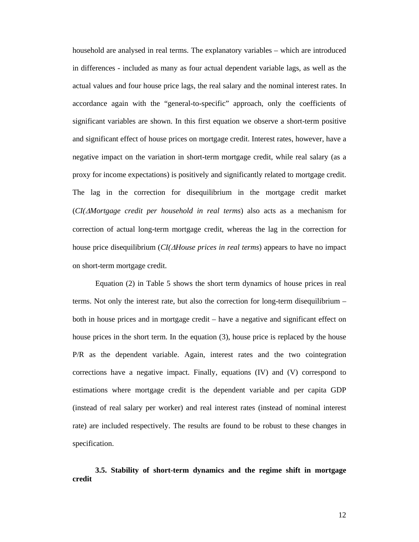household are analysed in real terms. The explanatory variables – which are introduced in differences - included as many as four actual dependent variable lags, as well as the actual values and four house price lags, the real salary and the nominal interest rates. In accordance again with the "general-to-specific" approach, only the coefficients of significant variables are shown. In this first equation we observe a short-term positive and significant effect of house prices on mortgage credit. Interest rates, however, have a negative impact on the variation in short-term mortgage credit, while real salary (as a proxy for income expectations) is positively and significantly related to mortgage credit. The lag in the correction for disequilibrium in the mortgage credit market (*CI(*Δ*Mortgage credit per household in real terms*) also acts as a mechanism for correction of actual long-term mortgage credit, whereas the lag in the correction for house price disequilibrium (*CI(*Δ*House prices in real terms*) appears to have no impact on short-term mortgage credit.

 Equation (2) in Table 5 shows the short term dynamics of house prices in real terms. Not only the interest rate, but also the correction for long-term disequilibrium – both in house prices and in mortgage credit – have a negative and significant effect on house prices in the short term. In the equation (3), house price is replaced by the house P/R as the dependent variable. Again, interest rates and the two cointegration corrections have a negative impact. Finally, equations (IV) and (V) correspond to estimations where mortgage credit is the dependent variable and per capita GDP (instead of real salary per worker) and real interest rates (instead of nominal interest rate) are included respectively. The results are found to be robust to these changes in specification.

**3.5. Stability of short-term dynamics and the regime shift in mortgage credit**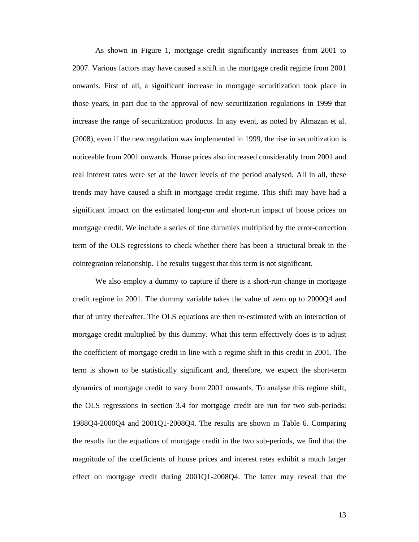As shown in Figure 1, mortgage credit significantly increases from 2001 to 2007. Various factors may have caused a shift in the mortgage credit regime from 2001 onwards. First of all, a significant increase in mortgage securitization took place in those years, in part due to the approval of new securitization regulations in 1999 that increase the range of securitization products. In any event, as noted by Almazan et al. (2008), even if the new regulation was implemented in 1999, the rise in securitization is noticeable from 2001 onwards. House prices also increased considerably from 2001 and real interest rates were set at the lower levels of the period analysed. All in all, these trends may have caused a shift in mortgage credit regime. This shift may have had a significant impact on the estimated long-run and short-run impact of house prices on mortgage credit. We include a series of tine dummies multiplied by the error-correction term of the OLS regressions to check whether there has been a structural break in the cointegration relationship. The results suggest that this term is not significant.

We also employ a dummy to capture if there is a short-run change in mortgage credit regime in 2001. The dummy variable takes the value of zero up to 2000Q4 and that of unity thereafter. The OLS equations are then re-estimated with an interaction of mortgage credit multiplied by this dummy. What this term effectively does is to adjust the coefficient of mortgage credit in line with a regime shift in this credit in 2001. The term is shown to be statistically significant and, therefore, we expect the short-term dynamics of mortgage credit to vary from 2001 onwards. To analyse this regime shift, the OLS regressions in section 3.4 for mortgage credit are run for two sub-periods: 1988Q4-2000Q4 and 2001Q1-2008Q4. The results are shown in Table 6. Comparing the results for the equations of mortgage credit in the two sub-periods, we find that the magnitude of the coefficients of house prices and interest rates exhibit a much larger effect on mortgage credit during 2001Q1-2008Q4. The latter may reveal that the

13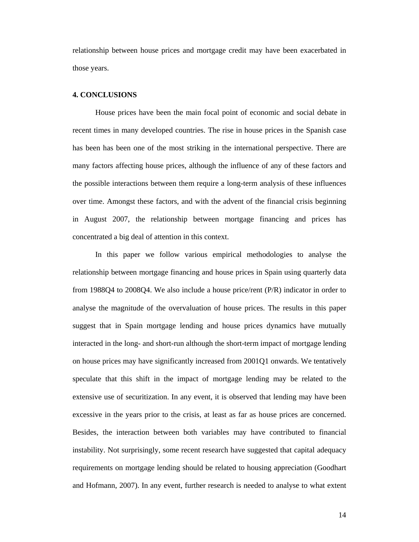relationship between house prices and mortgage credit may have been exacerbated in those years.

#### **4. CONCLUSIONS**

 House prices have been the main focal point of economic and social debate in recent times in many developed countries. The rise in house prices in the Spanish case has been has been one of the most striking in the international perspective. There are many factors affecting house prices, although the influence of any of these factors and the possible interactions between them require a long-term analysis of these influences over time. Amongst these factors, and with the advent of the financial crisis beginning in August 2007, the relationship between mortgage financing and prices has concentrated a big deal of attention in this context.

 In this paper we follow various empirical methodologies to analyse the relationship between mortgage financing and house prices in Spain using quarterly data from 1988Q4 to 2008Q4. We also include a house price/rent (P/R) indicator in order to analyse the magnitude of the overvaluation of house prices. The results in this paper suggest that in Spain mortgage lending and house prices dynamics have mutually interacted in the long- and short-run although the short-term impact of mortgage lending on house prices may have significantly increased from 2001Q1 onwards. We tentatively speculate that this shift in the impact of mortgage lending may be related to the extensive use of securitization. In any event, it is observed that lending may have been excessive in the years prior to the crisis, at least as far as house prices are concerned. Besides, the interaction between both variables may have contributed to financial instability. Not surprisingly, some recent research have suggested that capital adequacy requirements on mortgage lending should be related to housing appreciation (Goodhart and Hofmann, 2007). In any event, further research is needed to analyse to what extent

14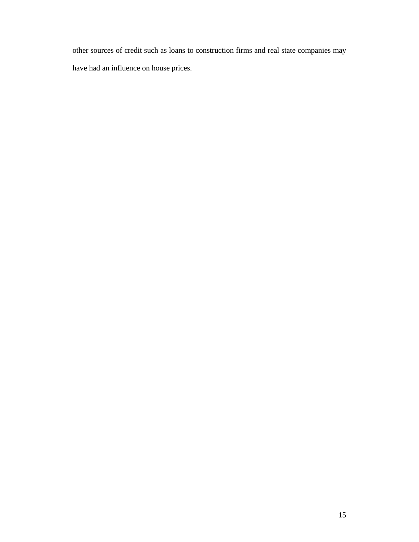other sources of credit such as loans to construction firms and real state companies may have had an influence on house prices.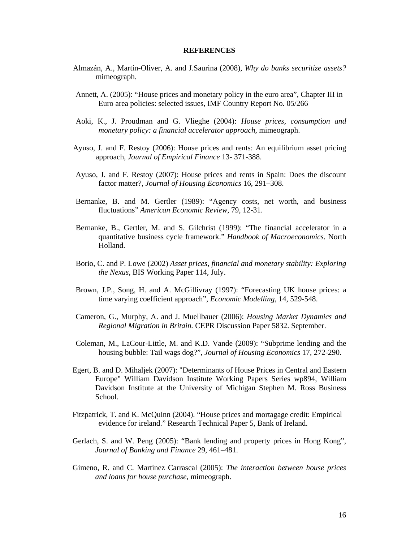#### **REFERENCES**

- Almazán, A., Martín-Oliver, A. and J.Saurina (2008), *Why do banks securitize assets?* mimeograph.
- Annett, A. (2005): "House prices and monetary policy in the euro area", Chapter III in Euro area policies: selected issues, IMF Country Report No. 05/266
- Aoki, K., J. Proudman and G. Vlieghe (2004): *House prices, consumption and monetary policy: a financial accelerator approach*, mimeograph.
- Ayuso, J. and F. Restoy (2006): House prices and rents: An equilibrium asset pricing approach, *Journal of Empirical Finance* 13- 371-388.
- Ayuso, J. and F. Restoy (2007): House prices and rents in Spain: Does the discount factor matter?, *Journal of Housing Economics* 16, 291–308.
- Bernanke, B. and M. Gertler (1989): "Agency costs, net worth, and business fluctuations" *American Economic Review*, 79, 12-31.
- Bernanke, B., Gertler, M. and S. Gilchrist (1999): "The financial accelerator in a quantitative business cycle framework." *Handbook of Macroeconomics*. North Holland.
- Borio, C. and P. Lowe (2002) *Asset prices, financial and monetary stability: Exploring the Nexus*, BIS Working Paper 114, July.
- Brown, J.P., Song, H. and A. McGillivray (1997): "Forecasting UK house prices: a time varying coefficient approach", *Economic Modelling*, 14, 529-548.
- Cameron, G., Murphy, A. and J. Muellbauer (2006): *Housing Market Dynamics and Regional Migration in Britain.* CEPR Discussion Paper 5832. September.
- Coleman, M., LaCour-Little, M. and K.D. Vande (2009): "Subprime lending and the housing bubble: Tail wags dog?", *Journal of Housing Economics* 17, 272-290.
- Egert, B. and D. Mihaljek (2007): "Determinants of House Prices in Central and Eastern Europe" William Davidson Institute Working Papers Series wp894, William Davidson Institute at the University of Michigan Stephen M. Ross Business School.
- Fitzpatrick, T. and K. McQuinn (2004). "House prices and mortagage credit: Empirical evidence for ireland." Research Technical Paper 5, Bank of Ireland.
- Gerlach, S. and W. Peng (2005): "Bank lending and property prices in Hong Kong", *Journal of Banking and Finance* 29, 461–481.
- Gimeno, R. and C. Martínez Carrascal (2005): *The interaction between house prices and loans for house purchase*, mimeograph.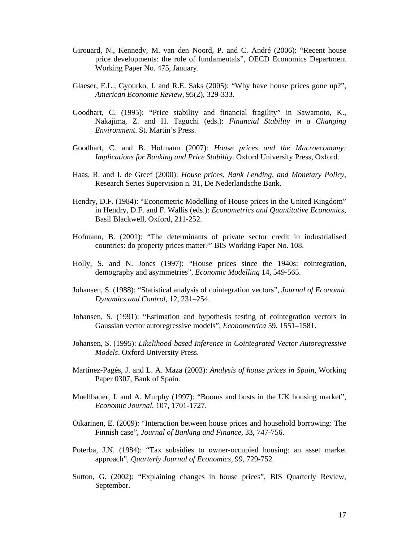- Girouard, N., Kennedy, M. van den Noord, P. and C. André (2006): "Recent house price developments: the role of fundamentals", OECD Economics Department Working Paper No. 475, January.
- Glaeser, E.L., Gyourko, J. and R.E. Saks (2005): "Why have house prices gone up?", *American Economic Review*, 95(2), 329-333.
- Goodhart, C. (1995): "Price stability and financial fragility" in Sawamoto, K., Nakajima, Z. and H. Taguchi (eds.): *Financial Stability in a Changing Environment*. St. Martin's Press.
- Goodhart, C. and B. Hofmann (2007): *House prices and the Macroeconomy: Implications for Banking and Price Stability*. Oxford University Press, Oxford.
- Haas, R. and I. de Greef (2000): *House prices, Bank Lending, and Monetary Policy*, Research Series Supervision n. 31, De Nederlandsche Bank.
- Hendry, D.F. (1984): "Econometric Modelling of House prices in the United Kingdom" in Hendry, D.F. and F. Wallis (eds.): *Econometrics and Quantitative Economics*, Basil Blackwell, Oxford, 211-252.
- Hofmann, B. (2001): "The determinants of private sector credit in industrialised countries: do property prices matter?" BIS Working Paper No. 108.
- Holly, S. and N. Jones (1997): "House prices since the 1940s: cointegration, demography and asymmetries", *Economic Modelling* 14, 549-565.
- Johansen, S. (1988): "Statistical analysis of cointegration vectors", *Journal of Economic Dynamics and Control*, 12, 231–254.
- Johansen, S. (1991): "Estimation and hypothesis testing of cointegration vectors in Gaussian vector autoregressive models", *Econometrica* 59, 1551–1581.
- Johansen, S. (1995): *Likelihood-based Inference in Cointegrated Vector Autoregressive Models*. Oxford University Press.
- Martínez-Pagés, J. and L. A. Maza (2003): *Analysis of house prices in Spain*, Working Paper 0307, Bank of Spain.
- Muellbauer, J. and A. Murphy (1997): "Booms and busts in the UK housing market", *Economic Journal*, 107, 1701-1727.
- Oikarinen, E. (2009): "Interaction between house prices and household borrowing: The Finnish case", *Journal of Banking and Finance*, 33, 747-756.
- Poterba, J.N. (1984): "Tax subsidies to owner-occupied housing: an asset market approach", *Quarterly Journal of Economics*, 99, 729-752.
- Sutton, G. (2002): "Explaining changes in house prices", BIS Quarterly Review, September.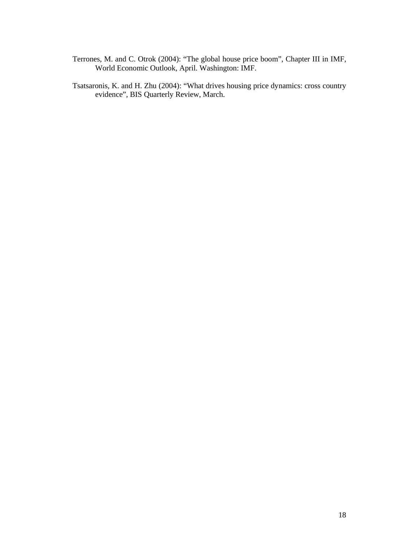- Terrones, M. and C. Otrok (2004): "The global house price boom", Chapter III in IMF, World Economic Outlook, April. Washington: IMF.
- Tsatsaronis, K. and H. Zhu (2004): "What drives housing price dynamics: cross country evidence", BIS Quarterly Review, March.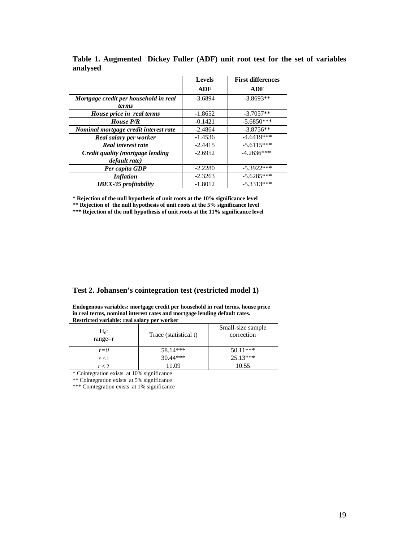|                                       | <b>Levels</b> | <b>First differences</b> |
|---------------------------------------|---------------|--------------------------|
|                                       | ADF           | ADF                      |
| Mortgage credit per household in real | $-3.6894$     | $-3.8693**$              |
| <i>terms</i>                          |               |                          |
| House price in real terms             | $-1.8652$     | $-3.7057**$              |
| House P/R                             | $-0.1421$     | $-5.6850***$             |
| Nominal mortgage credit interest rate | $-2.4864$     | $-3.8756**$              |
| Real salary per worker                | $-1.4536$     | $-4.6419***$             |
| <b>Real interest rate</b>             | $-2.4415$     | $-5.6115***$             |
| Credit quality (mortgage lending      | $-2.6952$     | $-4.2636***$             |
| <i>default rate</i> )                 |               |                          |
| Per capita GDP                        | $-2.2280$     | $-5.3922***$             |
| <i>Inflation</i>                      | $-2.3263$     | $-5.6285***$             |
| <b>IBEX-35</b> profitability          | $-1.8012$     | $-5.3313***$             |

**Table 1. Augmented Dickey Fuller (ADF) unit root test for the set of variables analysed**

**\* Rejection of the null hypothesis of unit roots at the 10% significance level** 

**\*\* Rejection of the null hypothesis of unit roots at the 5% significance level** 

\*\*\* Rejection of the null hypothesis of unit roots at the 11% significance level

### **Test 2. Johansen's cointegration test (restricted model 1)**

**Endogenous variables: mortgage credit per household in real terms, house price in real terms, nominal interest rates and mortgage lending default rates. Restricted variable: real salary per worker** 

| Restricted variable: real salary per worker |                       |                                 |  |  |  |
|---------------------------------------------|-----------------------|---------------------------------|--|--|--|
| $H_0$ :<br>range $=r$                       | Trace (statistical t) | Small-size sample<br>correction |  |  |  |
| $r = 0$                                     | $58.14***$            | $50.11***$                      |  |  |  |
| $r \leq 1$                                  | $30.44***$            | $25.13***$                      |  |  |  |
| $r \leq 2$                                  | 1.09                  | 10.55                           |  |  |  |

\* Cointegration exists at 10% significance

\*\* Cointegration exists at 5% significance

\*\*\* Cointegration exists at 1% significance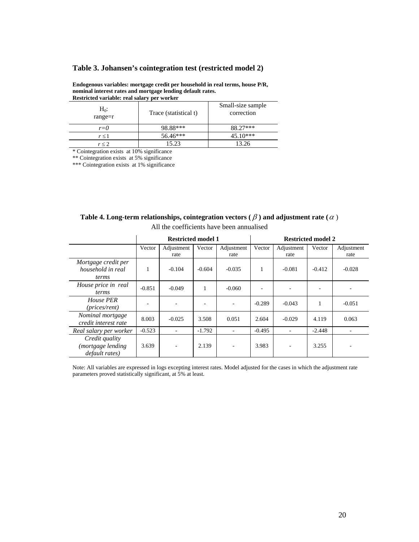#### **Table 3. Johansen's cointegration test (restricted model 2)**

**Endogenous variables: mortgage credit per household in real terms, house P/R, nominal interest rates and mortgage lending default rates. Restricted variable: real salary per worker** 

| Restricted variable: real salary per worker |                       |                                 |  |  |  |
|---------------------------------------------|-----------------------|---------------------------------|--|--|--|
| $H_0$ :<br>range $=r$                       | Trace (statistical t) | Small-size sample<br>correction |  |  |  |
| $r = 0$                                     | 98.88***              | 88.27***                        |  |  |  |
| $r \leq 1$                                  | 56.46***              | 45.10***                        |  |  |  |
| r < 2                                       | 15.23                 | 13.26                           |  |  |  |

\* Cointegration exists at 10% significance

\*\* Cointegration exists at 5% significance

\*\*\* Cointegration exists at 1% significance

|                                                      | <b>Restricted model 1</b> |                    |          | <b>Restricted model 2</b> |          |                    |          |                    |
|------------------------------------------------------|---------------------------|--------------------|----------|---------------------------|----------|--------------------|----------|--------------------|
|                                                      | Vector                    | Adjustment<br>rate | Vector   | Adjustment<br>rate        | Vector   | Adjustment<br>rate | Vector   | Adjustment<br>rate |
| Mortgage credit per<br>household in real<br>terms    | 1                         | $-0.104$           | $-0.604$ | $-0.035$                  |          | $-0.081$           | $-0.412$ | $-0.028$           |
| House price in real<br>terms                         | $-0.851$                  | $-0.049$           | 1        | $-0.060$                  |          |                    |          |                    |
| House PER<br>(prices/rent)                           |                           |                    |          |                           | $-0.289$ | $-0.043$           |          | $-0.051$           |
| Nominal mortgage<br>credit interest rate             | 8.003                     | $-0.025$           | 3.508    | 0.051                     | 2.604    | $-0.029$           | 4.119    | 0.063              |
| Real salary per worker                               | $-0.523$                  |                    | $-1.792$ |                           | $-0.495$ |                    | $-2.448$ |                    |
| Credit quality<br>mortgage lending<br>default rates) | 3.639                     |                    | 2.139    |                           | 3.983    |                    | 3.255    |                    |

**Table 4. Long-term relationships, cointegration vectors (** β **) and adjustment rate (**<sup>α</sup> ) All the coefficients have been annualised

Note: All variables are expressed in logs excepting interest rates. Model adjusted for the cases in which the adjustment rate parameters proved statistically significant, at 5% at least.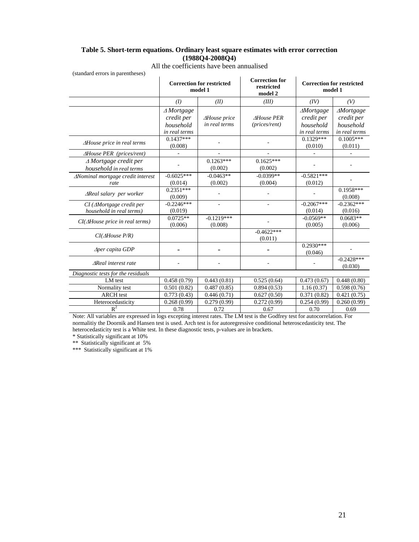#### **Table 5. Short-term equations. Ordinary least square estimates with error correction (1988Q4-2008Q4)**

| <b>Correction for</b><br><b>Correction for restricted</b><br><b>Correction for restricted</b><br>restricted<br>model 1<br>model 1<br>model 2<br>(II)<br>(III)<br>(I)<br>(IV)<br>(V)<br>$\triangle$ Mortgage<br>$\triangle M$ ortgage<br><b>AMortgage</b><br>credit per<br>credit per<br>credit per<br><b>AHouse</b> price<br><b>AHouse PER</b><br>in real terms<br>(prices/rent)<br>household<br>household<br>household<br>in real terms<br>in real terms<br>in real terms<br>$0.1329***$<br>$0.1437***$<br>$0.1005***$<br>$\Delta$ House price in real terms<br>(0.010)<br>(0.008)<br>(0.011)<br><b>AHouse PER</b> (prices/rent)<br>$0.1263***$<br>$0.1625***$<br>$\triangle$ Mortgage credit per<br>(0.002)<br>(0.002)<br>household in real terms<br>$-0.0399**$<br>$-0.0463**$<br>$-0.5821***$<br>$-0.6025***$<br>$\Delta$ Nominal mortgage credit interest<br>(0.014)<br>(0.002)<br>(0.004)<br>(0.012)<br>rate<br>$0.2351***$<br>$0.1958***$<br>$\triangle$ Real salary per worker<br>(0.009)<br>(0.008)<br>$-0.2067***$<br>$-0.2246***$<br>$-0.2362***$<br>$CI$ ( $\triangle M$ ortgage credit per<br>÷,<br>$\overline{\phantom{a}}$<br>household in real terms)<br>(0.019)<br>(0.014)<br>(0.016)<br>$0.0725**$ |                            |  |
|----------------------------------------------------------------------------------------------------------------------------------------------------------------------------------------------------------------------------------------------------------------------------------------------------------------------------------------------------------------------------------------------------------------------------------------------------------------------------------------------------------------------------------------------------------------------------------------------------------------------------------------------------------------------------------------------------------------------------------------------------------------------------------------------------------------------------------------------------------------------------------------------------------------------------------------------------------------------------------------------------------------------------------------------------------------------------------------------------------------------------------------------------------------------------------------------------------------------|----------------------------|--|
|                                                                                                                                                                                                                                                                                                                                                                                                                                                                                                                                                                                                                                                                                                                                                                                                                                                                                                                                                                                                                                                                                                                                                                                                                      |                            |  |
|                                                                                                                                                                                                                                                                                                                                                                                                                                                                                                                                                                                                                                                                                                                                                                                                                                                                                                                                                                                                                                                                                                                                                                                                                      |                            |  |
|                                                                                                                                                                                                                                                                                                                                                                                                                                                                                                                                                                                                                                                                                                                                                                                                                                                                                                                                                                                                                                                                                                                                                                                                                      |                            |  |
|                                                                                                                                                                                                                                                                                                                                                                                                                                                                                                                                                                                                                                                                                                                                                                                                                                                                                                                                                                                                                                                                                                                                                                                                                      |                            |  |
|                                                                                                                                                                                                                                                                                                                                                                                                                                                                                                                                                                                                                                                                                                                                                                                                                                                                                                                                                                                                                                                                                                                                                                                                                      |                            |  |
|                                                                                                                                                                                                                                                                                                                                                                                                                                                                                                                                                                                                                                                                                                                                                                                                                                                                                                                                                                                                                                                                                                                                                                                                                      |                            |  |
|                                                                                                                                                                                                                                                                                                                                                                                                                                                                                                                                                                                                                                                                                                                                                                                                                                                                                                                                                                                                                                                                                                                                                                                                                      |                            |  |
|                                                                                                                                                                                                                                                                                                                                                                                                                                                                                                                                                                                                                                                                                                                                                                                                                                                                                                                                                                                                                                                                                                                                                                                                                      |                            |  |
|                                                                                                                                                                                                                                                                                                                                                                                                                                                                                                                                                                                                                                                                                                                                                                                                                                                                                                                                                                                                                                                                                                                                                                                                                      |                            |  |
|                                                                                                                                                                                                                                                                                                                                                                                                                                                                                                                                                                                                                                                                                                                                                                                                                                                                                                                                                                                                                                                                                                                                                                                                                      |                            |  |
|                                                                                                                                                                                                                                                                                                                                                                                                                                                                                                                                                                                                                                                                                                                                                                                                                                                                                                                                                                                                                                                                                                                                                                                                                      |                            |  |
|                                                                                                                                                                                                                                                                                                                                                                                                                                                                                                                                                                                                                                                                                                                                                                                                                                                                                                                                                                                                                                                                                                                                                                                                                      |                            |  |
|                                                                                                                                                                                                                                                                                                                                                                                                                                                                                                                                                                                                                                                                                                                                                                                                                                                                                                                                                                                                                                                                                                                                                                                                                      |                            |  |
|                                                                                                                                                                                                                                                                                                                                                                                                                                                                                                                                                                                                                                                                                                                                                                                                                                                                                                                                                                                                                                                                                                                                                                                                                      |                            |  |
|                                                                                                                                                                                                                                                                                                                                                                                                                                                                                                                                                                                                                                                                                                                                                                                                                                                                                                                                                                                                                                                                                                                                                                                                                      |                            |  |
|                                                                                                                                                                                                                                                                                                                                                                                                                                                                                                                                                                                                                                                                                                                                                                                                                                                                                                                                                                                                                                                                                                                                                                                                                      |                            |  |
| $-0.1219***$<br>$0.0683**$<br>$-0.0569**$<br>$CI(\triangle House\ price\ in\ real\ terms)$                                                                                                                                                                                                                                                                                                                                                                                                                                                                                                                                                                                                                                                                                                                                                                                                                                                                                                                                                                                                                                                                                                                           |                            |  |
| (0.006)<br>(0.008)<br>(0.005)<br>(0.006)                                                                                                                                                                                                                                                                                                                                                                                                                                                                                                                                                                                                                                                                                                                                                                                                                                                                                                                                                                                                                                                                                                                                                                             |                            |  |
| $-0.4622***$                                                                                                                                                                                                                                                                                                                                                                                                                                                                                                                                                                                                                                                                                                                                                                                                                                                                                                                                                                                                                                                                                                                                                                                                         | $CI(\triangle House\ P/R)$ |  |
| (0.011)                                                                                                                                                                                                                                                                                                                                                                                                                                                                                                                                                                                                                                                                                                                                                                                                                                                                                                                                                                                                                                                                                                                                                                                                              |                            |  |
| $0.2930***$<br>$\triangle$ per capita GDP<br>(0.046)                                                                                                                                                                                                                                                                                                                                                                                                                                                                                                                                                                                                                                                                                                                                                                                                                                                                                                                                                                                                                                                                                                                                                                 |                            |  |
| $-0.2428***$<br><b>AReal</b> interest rate                                                                                                                                                                                                                                                                                                                                                                                                                                                                                                                                                                                                                                                                                                                                                                                                                                                                                                                                                                                                                                                                                                                                                                           |                            |  |
| (0.030)<br>Diagnostic tests for the residuals                                                                                                                                                                                                                                                                                                                                                                                                                                                                                                                                                                                                                                                                                                                                                                                                                                                                                                                                                                                                                                                                                                                                                                        |                            |  |
| LM test<br>0.458(0.79)<br>0.448(0.80)<br>0.443(0.81)<br>0.525(0.64)<br>0.473(0.67)                                                                                                                                                                                                                                                                                                                                                                                                                                                                                                                                                                                                                                                                                                                                                                                                                                                                                                                                                                                                                                                                                                                                   |                            |  |
| Normality test<br>0.501(0.82)<br>0.487(0.85)<br>0.894(0.53)<br>1.16(0.37)<br>0.598(0.76)                                                                                                                                                                                                                                                                                                                                                                                                                                                                                                                                                                                                                                                                                                                                                                                                                                                                                                                                                                                                                                                                                                                             |                            |  |
| <b>ARCH</b> test<br>0.773(0.43)<br>$\overline{0.627} (0.50)$<br>0.371(0.82)<br>0.446(0.71)<br>0.421(0.75)                                                                                                                                                                                                                                                                                                                                                                                                                                                                                                                                                                                                                                                                                                                                                                                                                                                                                                                                                                                                                                                                                                            |                            |  |
| 0.268(0.99)<br>0.279(0.99)<br>0.272(0.99)<br>0.254(0.99)<br>0.260(0.99)                                                                                                                                                                                                                                                                                                                                                                                                                                                                                                                                                                                                                                                                                                                                                                                                                                                                                                                                                                                                                                                                                                                                              |                            |  |
| Heterocedasticity<br>$R^2$<br>0.78<br>0.72<br>0.70<br>0.67<br>0.69                                                                                                                                                                                                                                                                                                                                                                                                                                                                                                                                                                                                                                                                                                                                                                                                                                                                                                                                                                                                                                                                                                                                                   |                            |  |
| Note: All variables are expressed in logs excepting interest rates. The LM test is the Godfrey test for autocorrelation. For                                                                                                                                                                                                                                                                                                                                                                                                                                                                                                                                                                                                                                                                                                                                                                                                                                                                                                                                                                                                                                                                                         |                            |  |

All the coefficients have been annualised

normalitiy the Doornik and Hansen test is used. Arch test is for autoregressive conditional heteroscedasticity test. The heterocedasticity test is a White test. In these diagnostic tests, p-values are in brackets.

\* Statistically significant at 10%

\*\* Statistically significant at 5%

\*\*\* Statistically significant at 1%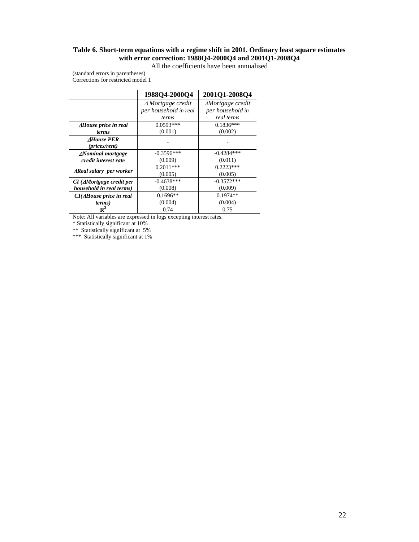### **Table 6. Short-term equations with a regime shift in 2001. Ordinary least square estimates with error correction: 1988Q4-2000Q4 and 2001Q1-2008Q4**

All the coefficients have been annualised

(standard errors in parentheses) Corrections for restricted model 1

|                                             | 1988Q4-2000Q4               | 2001Q1-2008Q4                |
|---------------------------------------------|-----------------------------|------------------------------|
|                                             | $\triangle$ Mortgage credit | $\triangle M$ ortgage credit |
|                                             | per household in real       | per household in             |
|                                             | terms                       | real terms                   |
| <b><i>AHouse price in real</i></b>          | $0.0593***$                 | $0.1836***$                  |
| <i>terms</i>                                | (0.001)                     | (0.002)                      |
| <b>AHouse PER</b><br>( <i>prices/rent</i> ) |                             |                              |
| <b><i>ANominal mortgage</i></b>             | $-0.3596***$                | $-0.4284***$                 |
| credit interest rate                        | (0.009)                     | (0.011)                      |
|                                             | $0.2011***$                 | $0.2223***$                  |
| $\Delta$ Real salary per worker             | (0.005)                     | (0.005)                      |
| $CI$ ( $\triangle$ Mortgage credit per      | $-0.4638***$                | $-0.3572***$                 |
| household in real terms)                    | (0.008)                     | (0.009)                      |
| $CI(\Delta House\ price\ in\ real)$         | $0.1696**$                  | $0.1974**$                   |
| terms)                                      | (0.004)                     | (0.004)                      |
| $\mathbf{R}^2$                              | 0.74                        | 0.75                         |

Note: All variables are expressed in logs excepting interest rates.

\* Statistically significant at 10%

\*\* Statistically significant at 5%

\*\*\* Statistically significant at 1%